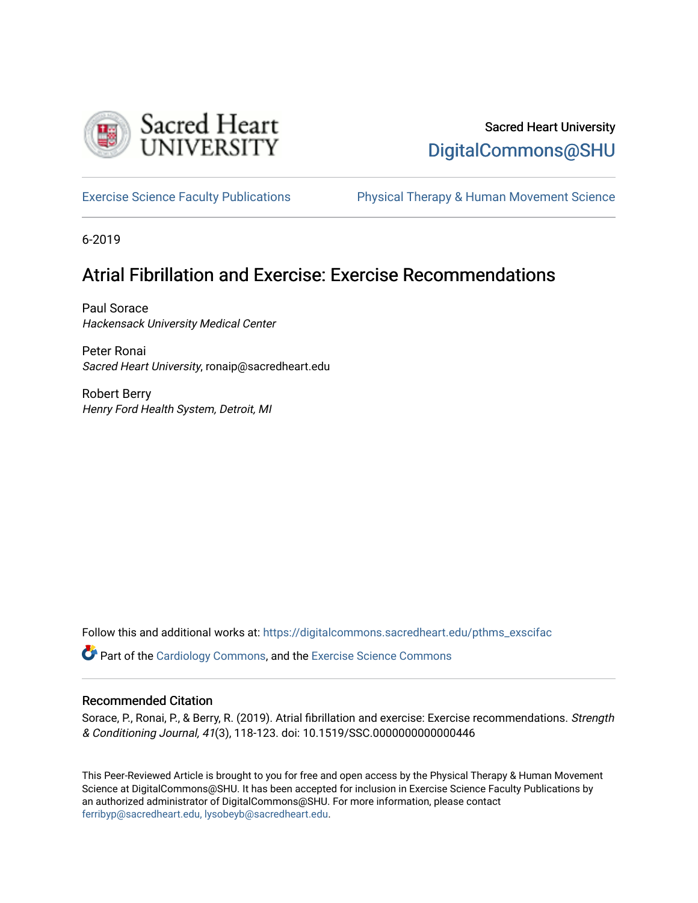

## Sacred Heart University [DigitalCommons@SHU](https://digitalcommons.sacredheart.edu/)

[Exercise Science Faculty Publications](https://digitalcommons.sacredheart.edu/pthms_exscifac) [Physical Therapy & Human Movement Science](https://digitalcommons.sacredheart.edu/pthms) 

6-2019

# Atrial Fibrillation and Exercise: Exercise Recommendations

Paul Sorace Hackensack University Medical Center

Peter Ronai Sacred Heart University, ronaip@sacredheart.edu

Robert Berry Henry Ford Health System, Detroit, MI

Follow this and additional works at: [https://digitalcommons.sacredheart.edu/pthms\\_exscifac](https://digitalcommons.sacredheart.edu/pthms_exscifac?utm_source=digitalcommons.sacredheart.edu%2Fpthms_exscifac%2F26&utm_medium=PDF&utm_campaign=PDFCoverPages)

**P** Part of the [Cardiology Commons](http://network.bepress.com/hgg/discipline/683?utm_source=digitalcommons.sacredheart.edu%2Fpthms_exscifac%2F26&utm_medium=PDF&utm_campaign=PDFCoverPages), and the Exercise Science Commons

#### Recommended Citation

Sorace, P., Ronai, P., & Berry, R. (2019). Atrial fibrillation and exercise: Exercise recommendations. Strength & Conditioning Journal, 41(3), 118-123. doi: 10.1519/SSC.0000000000000446

This Peer-Reviewed Article is brought to you for free and open access by the Physical Therapy & Human Movement Science at DigitalCommons@SHU. It has been accepted for inclusion in Exercise Science Faculty Publications by an authorized administrator of DigitalCommons@SHU. For more information, please contact [ferribyp@sacredheart.edu, lysobeyb@sacredheart.edu.](mailto:ferribyp@sacredheart.edu,%20lysobeyb@sacredheart.edu)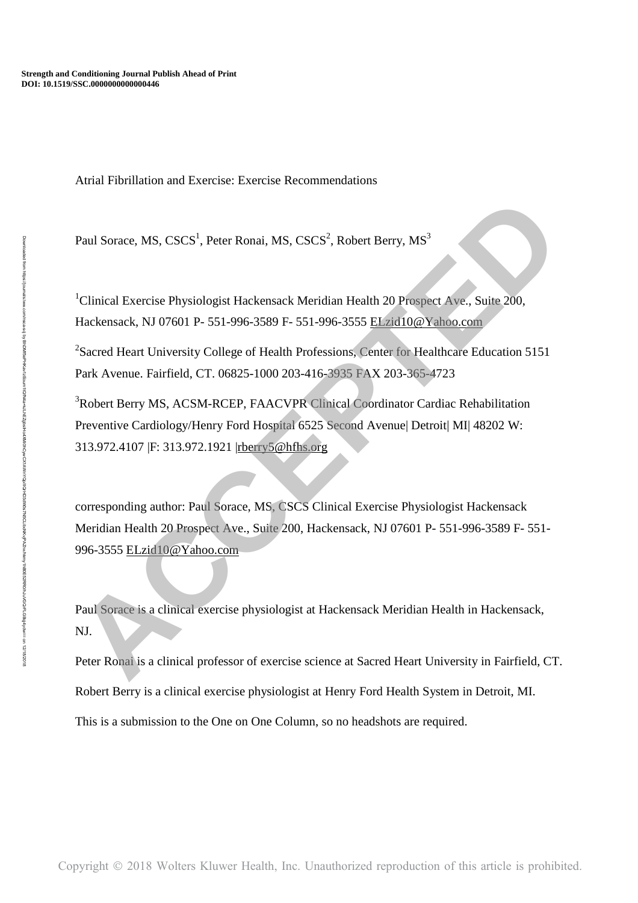Atrial Fibrillation and Exercise: Exercise Recommendations

Paul Sorace, MS,  $CSCS<sup>1</sup>$ , Peter Ronai, MS,  $CSCS<sup>2</sup>$ , Robert Berry, MS<sup>3</sup>

 $1$ Clinical Exercise Physiologist Hackensack Meridian Health 20 Prospect Ave., Suite 200, Hackensack, NJ 07601 P- 551-996-3589 F- 551-996-3555 ELzid10@Yahoo.com

<sup>2</sup>Sacred Heart University College of Health Professions, Center for Healthcare Education 5151 Park Avenue. Fairfield, CT. 06825-1000 203-416-3935 FAX 203-365-4723

<sup>3</sup>Robert Berry MS, ACSM-RCEP, FAACVPR Clinical Coordinator Cardiac Rehabilitation Preventive Cardiology/Henry Ford Hospital 6525 Second Avenue| Detroit| MI| 48202 W: 313.972.4107 |F: 313.972.1921 |rberry5@hfhs.org

corresponding author: Paul Sorace, MS, CSCS Clinical Exercise Physiologist Hackensack Meridian Health 20 Prospect Ave., Suite 200, Hackensack, NJ 07601 P- 551-996-3589 F- 551- 996-3555 ELzid10@Yahoo.com Paul Sorace, MS, CSCS<sup>1</sup>, Peter Ronai, MS, CSCS<sup>2</sup>, Robert Berry, MS<sup>3</sup><br>
<sup>4</sup>Clinical Exercise Physiologist Hackensack Meridian Health 20 Prospect Aye., Stifte 200,<br>
<sup>4</sup>Heatensack, N107601 P- 551-996-3589 F- 551-996-3555 El

Paul Sorace is a clinical exercise physiologist at Hackensack Meridian Health in Hackensack, NJ.

Peter Ronai is a clinical professor of exercise science at Sacred Heart University in Fairfield, CT. Robert Berry is a clinical exercise physiologist at Henry Ford Health System in Detroit, MI. This is a submission to the One on One Column, so no headshots are required.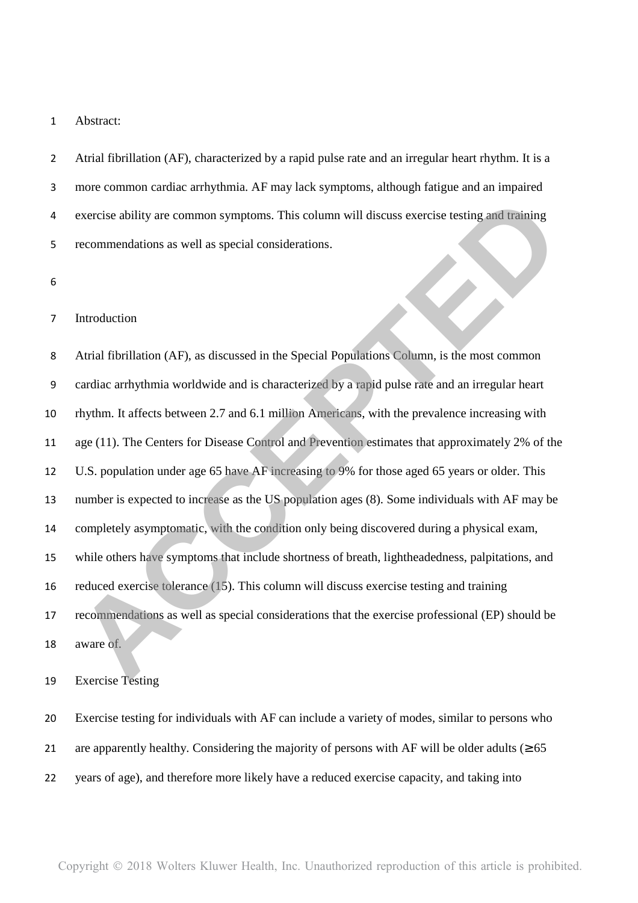#### Abstract:

Atrial fibrillation (AF), characterized by a rapid pulse rate and an irregular heart rhythm. It is a more common cardiac arrhythmia. AF may lack symptoms, although fatigue and an impaired exercise ability are common symptoms. This column will discuss exercise testing and training recommendations as well as special considerations.

#### Introduction

Atrial fibrillation (AF), as discussed in the Special Populations Column, is the most common cardiac arrhythmia worldwide and is characterized by a rapid pulse rate and an irregular heart rhythm. It affects between 2.7 and 6.1 million Americans, with the prevalence increasing with age (11). The Centers for Disease Control and Prevention estimates that approximately 2% of the U.S. population under age 65 have AF increasing to 9% for those aged 65 years or older. This number is expected to increase as the US population ages (8). Some individuals with AF may be completely asymptomatic, with the condition only being discovered during a physical exam, while others have symptoms that include shortness of breath, lightheadedness, palpitations, and reduced exercise tolerance (15). This column will discuss exercise testing and training recommendations as well as special considerations that the exercise professional (EP) should be aware of. exercise ability are common symptoms. This column will discuss exercise testing and training<br>recommendations as well as special considerations.<br>
Actial fibrillation (AF), as discussed in the Special Populations Column, is

Exercise Testing

Exercise testing for individuals with AF can include a variety of modes, similar to persons who 21 are apparently healthy. Considering the majority of persons with AF will be older adults ( $\geq 65$ ) years of age), and therefore more likely have a reduced exercise capacity, and taking into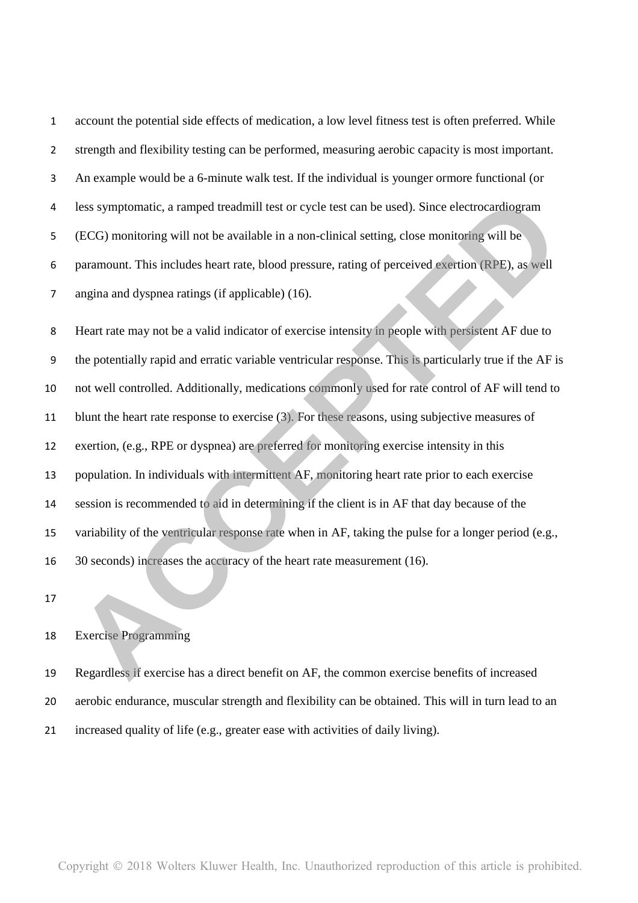account the potential side effects of medication, a low level fitness test is often preferred. While strength and flexibility testing can be performed, measuring aerobic capacity is most important. An example would be a 6-minute walk test. If the individual is younger ormore functional (or less symptomatic, a ramped treadmill test or cycle test can be used). Since electrocardiogram (ECG) monitoring will not be available in a non-clinical setting, close monitoring will be paramount. This includes heart rate, blood pressure, rating of perceived exertion (RPE), as well angina and dyspnea ratings (if applicable) (16).

Heart rate may not be a valid indicator of exercise intensity in people with persistent AF due to the potentially rapid and erratic variable ventricular response. This is particularly true if the AF is not well controlled. Additionally, medications commonly used for rate control of AF will tend to blunt the heart rate response to exercise (3). For these reasons, using subjective measures of exertion, (e.g., RPE or dyspnea) are preferred for monitoring exercise intensity in this population. In individuals with intermittent AF, monitoring heart rate prior to each exercise session is recommended to aid in determining if the client is in AF that day because of the variability of the ventricular response rate when in AF, taking the pulse for a longer period (e.g., 30 seconds) increases the accuracy of the heart rate measurement (16). less symptomatic, a ramped treadmill test or cycle test can be used). Since electrocardiogram<br>(ECG) monitoring will not be available in a non-clinical setting, close monitoring will be<br>paramount. This includes heart rate,

### Exercise Programming

- Regardless if exercise has a direct benefit on AF, the common exercise benefits of increased
- aerobic endurance, muscular strength and flexibility can be obtained. This will in turn lead to an
- increased quality of life (e.g., greater ease with activities of daily living).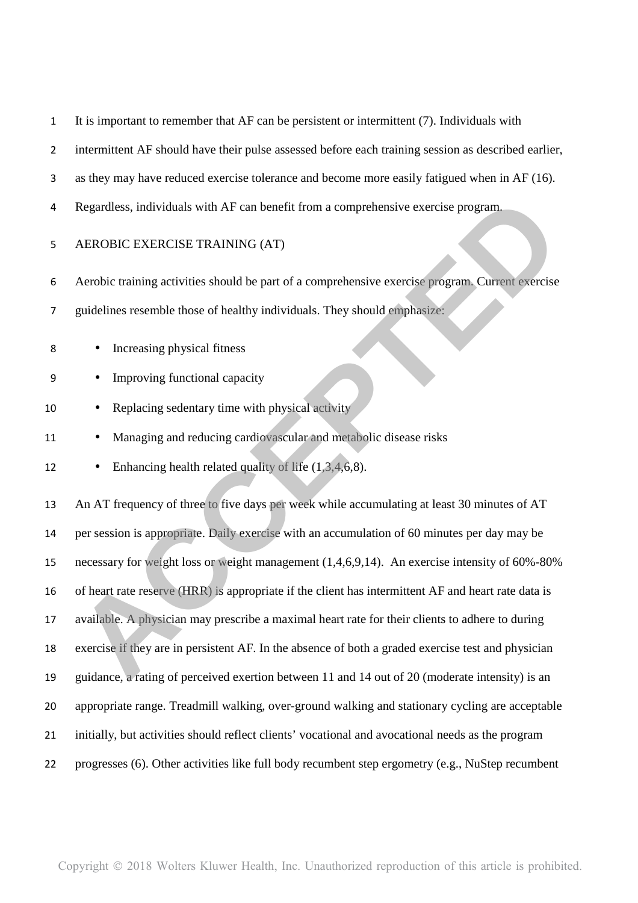|  |  | It is important to remember that AF can be persistent or intermittent (7). Individuals with |  |  |  |  |  |
|--|--|---------------------------------------------------------------------------------------------|--|--|--|--|--|
|--|--|---------------------------------------------------------------------------------------------|--|--|--|--|--|

- intermittent AF should have their pulse assessed before each training session as described earlier,
- as they may have reduced exercise tolerance and become more easily fatigued when in AF (16).
- Regardless, individuals with AF can benefit from a comprehensive exercise program.
- AEROBIC EXERCISE TRAINING (AT)
- Aerobic training activities should be part of a comprehensive exercise program. Current exercise
- guidelines resemble those of healthy individuals. They should emphasize:
- Increasing physical fitness
- Improving functional capacity
- 10 Replacing sedentary time with physical activity
- 11 Managing and reducing cardiovascular and metabolic disease risks
- Enhancing health related quality of life (1,3,4,6,8).

An AT frequency of three to five days per week while accumulating at least 30 minutes of AT per session is appropriate. Daily exercise with an accumulation of 60 minutes per day may be necessary for weight loss or weight management (1,4,6,9,14). An exercise intensity of 60%-80% of heart rate reserve (HRR) is appropriate if the client has intermittent AF and heart rate data is available. A physician may prescribe a maximal heart rate for their clients to adhere to during exercise if they are in persistent AF. In the absence of both a graded exercise test and physician guidance, a rating of perceived exertion between 11 and 14 out of 20 (moderate intensity) is an appropriate range. Treadmill walking, over-ground walking and stationary cycling are acceptable initially, but activities should reflect clients' vocational and avocational needs as the program progresses (6). Other activities like full body recumbent step ergometry (e.g., NuStep recumbent **Regardless, individuals with AF can benefit from a comprehensive exercise program.**<br> **AEROBIC EXERCISE TRAINING (AT)**<br> **Acrobic training activities should be part of a comprehensive exercise program. Current exercise<br>
gui**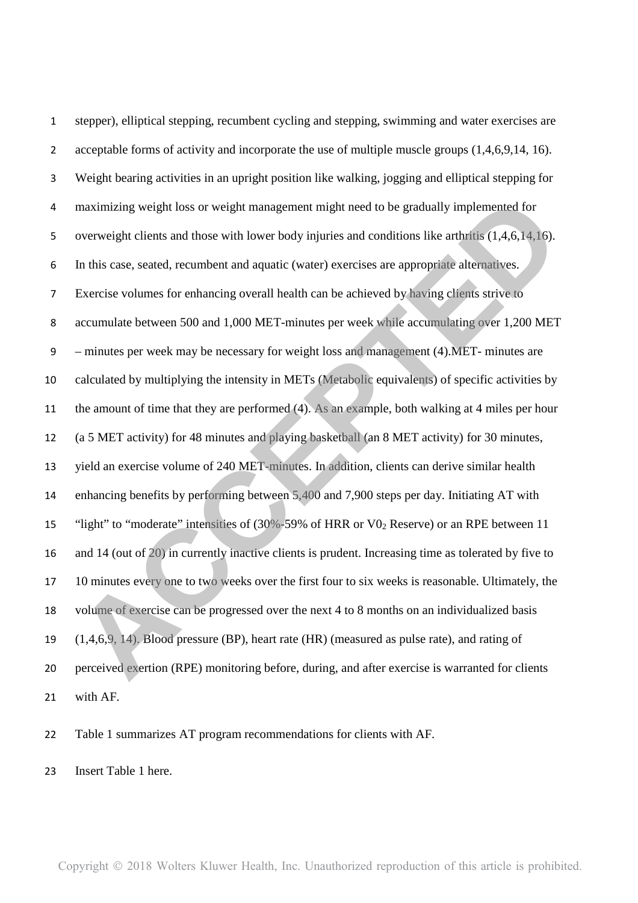stepper), elliptical stepping, recumbent cycling and stepping, swimming and water exercises are 2 acceptable forms of activity and incorporate the use of multiple muscle groups  $(1,4,6,9,14, 16)$ . Weight bearing activities in an upright position like walking, jogging and elliptical stepping for maximizing weight loss or weight management might need to be gradually implemented for overweight clients and those with lower body injuries and conditions like arthritis (1,4,6,14,16). In this case, seated, recumbent and aquatic (water) exercises are appropriate alternatives. Exercise volumes for enhancing overall health can be achieved by having clients strive to accumulate between 500 and 1,000 MET-minutes per week while accumulating over 1,200 MET – minutes per week may be necessary for weight loss and management (4).MET- minutes are calculated by multiplying the intensity in METs (Metabolic equivalents) of specific activities by the amount of time that they are performed (4). As an example, both walking at 4 miles per hour (a 5 MET activity) for 48 minutes and playing basketball (an 8 MET activity) for 30 minutes, yield an exercise volume of 240 MET-minutes. In addition, clients can derive similar health enhancing benefits by performing between 5,400 and 7,900 steps per day. Initiating AT with 15 "light" to "moderate" intensities of  $(30\% - 59\%$  of HRR or V0, Reserve) or an RPE between 11 and 14 (out of 20) in currently inactive clients is prudent. Increasing time as tolerated by five to 10 minutes every one to two weeks over the first four to six weeks is reasonable. Ultimately, the volume of exercise can be progressed over the next 4 to 8 months on an individualized basis (1,4,6,9, 14). Blood pressure (BP), heart rate (HR) (measured as pulse rate), and rating of perceived exertion (RPE) monitoring before, during, and after exercise is warranted for clients with AF. maximizing weight loss or weight management might need to be gradually implemented for<br>overveight clients and those with lower body injuries and conditions like arthritis (1,4,6,14,16).<br>In this case, seated, neumbent and

Table 1 summarizes AT program recommendations for clients with AF.

Insert Table 1 here.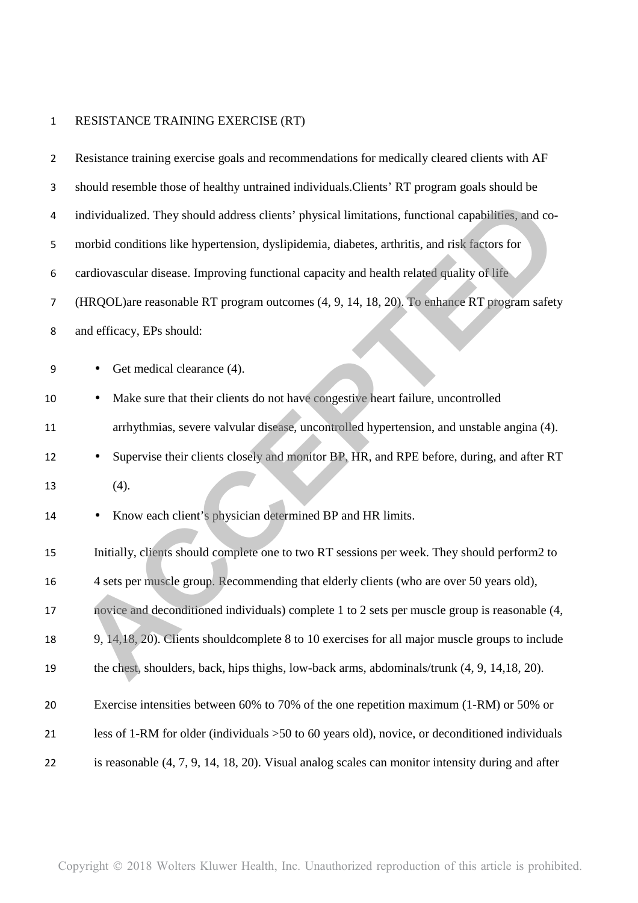## RESISTANCE TRAINING EXERCISE (RT)

| $\mathbf{2}$     | Resistance training exercise goals and recommendations for medically cleared clients with AF        |
|------------------|-----------------------------------------------------------------------------------------------------|
| 3                | should resemble those of healthy untrained individuals. Clients' RT program goals should be         |
| 4                | individualized. They should address clients' physical limitations, functional capabilities, and co- |
| 5                | morbid conditions like hypertension, dyslipidemia, diabetes, arthritis, and risk factors for        |
| $\boldsymbol{6}$ | cardiovascular disease. Improving functional capacity and health related quality of life            |
| $\overline{7}$   | (HRQOL)are reasonable RT program outcomes (4, 9, 14, 18, 20). To enhance RT program safety          |
| 8                | and efficacy, EPs should:                                                                           |
| 9                | Get medical clearance (4).                                                                          |
| 10               | Make sure that their clients do not have congestive heart failure, uncontrolled                     |
| 11               | arrhythmias, severe valvular disease, uncontrolled hypertension, and unstable angina (4).           |
| 12               | Supervise their clients closely and monitor BP, HR, and RPE before, during, and after RT            |
| 13               | (4).                                                                                                |
| 14               | Know each client's physician determined BP and HR limits.                                           |
| 15               | Initially, clients should complete one to two RT sessions per week. They should perform2 to         |
|                  |                                                                                                     |
| 16               | 4 sets per muscle group. Recommending that elderly clients (who are over 50 years old),             |
| 17               | novice and deconditioned individuals) complete 1 to 2 sets per muscle group is reasonable (4,       |
| 18               | 9, 14, 18, 20). Clients should complete 8 to 10 exercises for all major muscle groups to include    |
| 19               | the chest, shoulders, back, hips thighs, low-back arms, abdominals/trunk (4, 9, 14, 18, 20).        |
| 20               | Exercise intensities between 60% to 70% of the one repetition maximum (1-RM) or 50% or              |
| 21               | less of 1-RM for older (individuals >50 to 60 years old), novice, or deconditioned individuals      |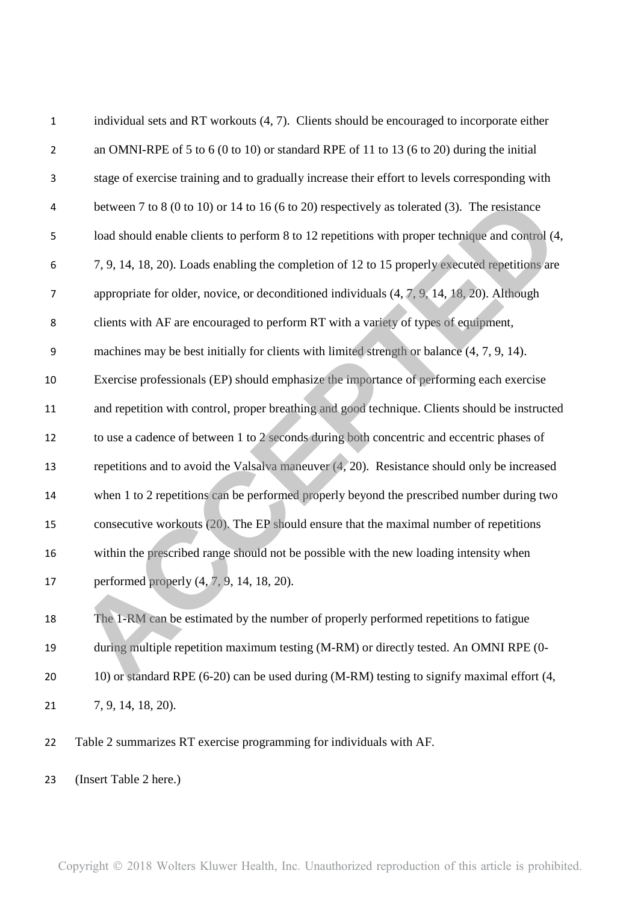| $\mathbf 1$    | individual sets and RT workouts (4, 7). Clients should be encouraged to incorporate either      |
|----------------|-------------------------------------------------------------------------------------------------|
| $\overline{2}$ | an OMNI-RPE of 5 to 6 (0 to 10) or standard RPE of 11 to 13 (6 to 20) during the initial        |
| 3              | stage of exercise training and to gradually increase their effort to levels corresponding with  |
| 4              | between 7 to 8 (0 to 10) or 14 to 16 (6 to 20) respectively as tolerated (3). The resistance    |
| 5              | load should enable clients to perform 8 to 12 repetitions with proper technique and control (4, |
| 6              | 7, 9, 14, 18, 20). Loads enabling the completion of 12 to 15 properly executed repetitions are  |
| 7              | appropriate for older, novice, or deconditioned individuals $(4, 7, 9, 14, 18, 20)$ . Although  |
| 8              | clients with AF are encouraged to perform RT with a variety of types of equipment,              |
| 9              | machines may be best initially for clients with limited strength or balance (4, 7, 9, 14).      |
| 10             | Exercise professionals (EP) should emphasize the importance of performing each exercise         |
| 11             | and repetition with control, proper breathing and good technique. Clients should be instructed  |
| 12             | to use a cadence of between 1 to 2 seconds during both concentric and eccentric phases of       |
| 13             | repetitions and to avoid the Valsalva maneuver $(4, 20)$ . Resistance should only be increased  |
| 14             | when 1 to 2 repetitions can be performed properly beyond the prescribed number during two       |
| 15             | consecutive workouts (20). The EP should ensure that the maximal number of repetitions          |
| 16             | within the prescribed range should not be possible with the new loading intensity when          |
| 17             | performed properly $(4, 7, 9, 14, 18, 20)$ .                                                    |
| 18             | The 1-RM can be estimated by the number of properly performed repetitions to fatigue            |
| 19             | during multiple repetition maximum testing (M-RM) or directly tested. An OMNI RPE (0-           |
| 20             | 10) or standard RPE (6-20) can be used during (M-RM) testing to signify maximal effort (4,      |
| 21             | 7, 9, 14, 18, 20).                                                                              |
|                |                                                                                                 |

Table 2 summarizes RT exercise programming for individuals with AF.

(Insert Table 2 here.)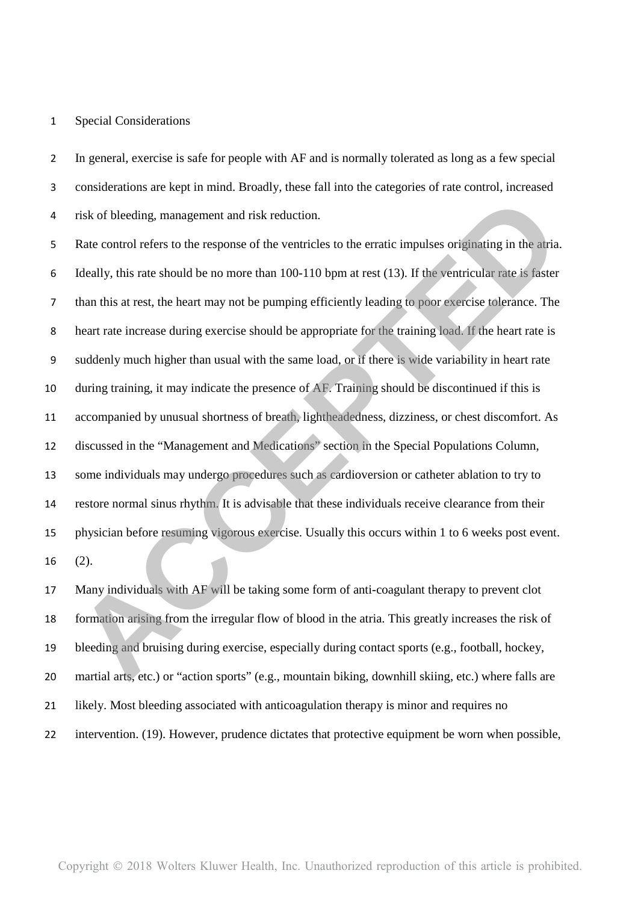### Special Considerations

In general, exercise is safe for people with AF and is normally tolerated as long as a few special considerations are kept in mind. Broadly, these fall into the categories of rate control, increased risk of bleeding, management and risk reduction.

Rate control refers to the response of the ventricles to the erratic impulses originating in the atria. Ideally, this rate should be no more than 100-110 bpm at rest (13). If the ventricular rate is faster than this at rest, the heart may not be pumping efficiently leading to poor exercise tolerance. The heart rate increase during exercise should be appropriate for the training load. If the heart rate is suddenly much higher than usual with the same load, or if there is wide variability in heart rate during training, it may indicate the presence of AF. Training should be discontinued if this is accompanied by unusual shortness of breath, lightheadedness, dizziness, or chest discomfort. As discussed in the "Management and Medications" section in the Special Populations Column, some individuals may undergo procedures such as cardioversion or catheter ablation to try to restore normal sinus rhythm. It is advisable that these individuals receive clearance from their physician before resuming vigorous exercise. Usually this occurs within 1 to 6 weeks post event. (2). risk of bleeding, management and risk reduction.<br>Rate control refers to the response of the ventricles to the ceratic impulses originating in the aria.<br>Rate control refers to the response of the ventricles to the ceratic i

17 Many individuals with AF will be taking some form of anti-coagulant therapy to prevent clot formation arising from the irregular flow of blood in the atria. This greatly increases the risk of bleeding and bruising during exercise, especially during contact sports (e.g., football, hockey, martial arts, etc.) or "action sports" (e.g., mountain biking, downhill skiing, etc.) where falls are likely. Most bleeding associated with anticoagulation therapy is minor and requires no intervention. (19). However, prudence dictates that protective equipment be worn when possible,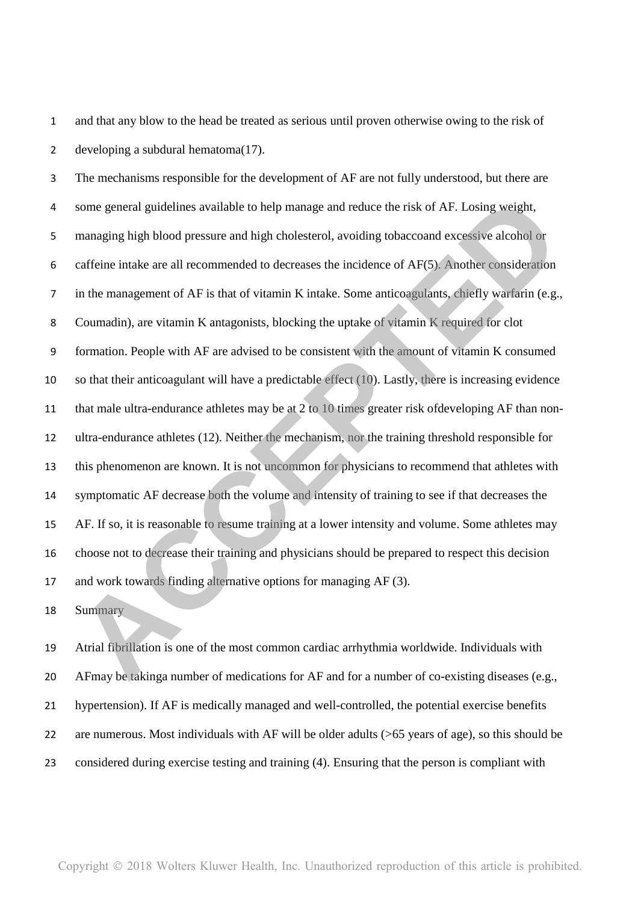and that any blow to the head be treated as serious until proven otherwise owing to the risk of developing a subdural hematoma(17).

The mechanisms responsible for the development of AF are not fully understood, but there are some general guidelines available to help manage and reduce the risk of AF. Losing weight, managing high blood pressure and high cholesterol, avoiding tobaccoand excessive alcohol or caffeine intake are all recommended to decreases the incidence of AF(5). Another consideration in the management of AF is that of vitamin K intake. Some anticoagulants, chiefly warfarin (e.g., Coumadin), are vitamin K antagonists, blocking the uptake of vitamin K required for clot formation. People with AF are advised to be consistent with the amount of vitamin K consumed so that their anticoagulant will have a predictable effect (10). Lastly, there is increasing evidence that male ultra-endurance athletes may be at 2 to 10 times greater risk ofdeveloping AF than non-ultra-endurance athletes (12). Neither the mechanism, nor the training threshold responsible for this phenomenon are known. It is not uncommon for physicians to recommend that athletes with symptomatic AF decrease both the volume and intensity of training to see if that decreases the AF. If so, it is reasonable to resume training at a lower intensity and volume. Some athletes may choose not to decrease their training and physicians should be prepared to respect this decision and work towards finding alternative options for managing AF (3). some general guidelines available to help manage and reduce the risk of AF. Losing weight,<br>managing high blood pressure and high cholesterol, avoiding tobaccoand excessive alcohol or<br>caffeine intake are all recommended to

Summary

Atrial fibrillation is one of the most common cardiac arrhythmia worldwide. Individuals with AFmay be takinga number of medications for AF and for a number of co-existing diseases (e.g., hypertension). If AF is medically managed and well-controlled, the potential exercise benefits are numerous. Most individuals with AF will be older adults (>65 years of age), so this should be considered during exercise testing and training (4). Ensuring that the person is compliant with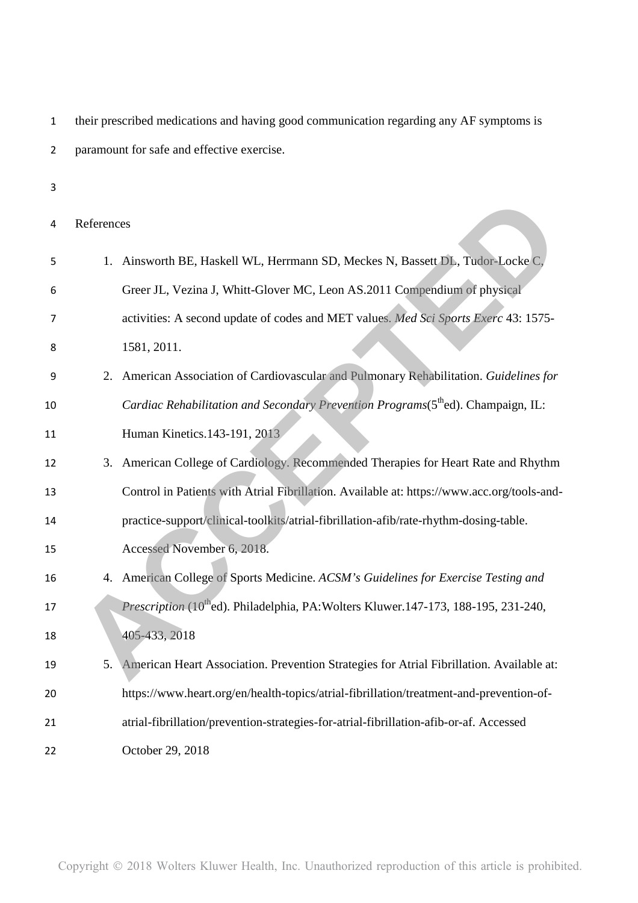| 1  | their prescribed medications and having good communication regarding any AF symptoms is         |  |  |  |
|----|-------------------------------------------------------------------------------------------------|--|--|--|
| 2  | paramount for safe and effective exercise.                                                      |  |  |  |
| 3  |                                                                                                 |  |  |  |
| 4  | References                                                                                      |  |  |  |
| 5  | Ainsworth BE, Haskell WL, Herrmann SD, Meckes N, Bassett DL, Tudor-Locke C,<br>1.               |  |  |  |
| 6  | Greer JL, Vezina J, Whitt-Glover MC, Leon AS.2011 Compendium of physical                        |  |  |  |
| 7  | activities: A second update of codes and MET values. Med Sci Sports Exerc 43: 1575-             |  |  |  |
| 8  | 1581, 2011.                                                                                     |  |  |  |
| 9  | American Association of Cardiovascular and Pulmonary Rehabilitation. Guidelines for<br>2.       |  |  |  |
| 10 | Cardiac Rehabilitation and Secondary Prevention Programs(5 <sup>th</sup> ed). Champaign, IL:    |  |  |  |
| 11 | Human Kinetics.143-191, 2013                                                                    |  |  |  |
| 12 | 3. American College of Cardiology. Recommended Therapies for Heart Rate and Rhythm              |  |  |  |
| 13 | Control in Patients with Atrial Fibrillation. Available at: https://www.acc.org/tools-and-      |  |  |  |
| 14 | practice-support/clinical-toolkits/atrial-fibrillation-afib/rate-rhythm-dosing-table.           |  |  |  |
| 15 | Accessed November 6, 2018.                                                                      |  |  |  |
| 16 | 4. American College of Sports Medicine. ACSM's Guidelines for Exercise Testing and              |  |  |  |
| 17 | Prescription (10 <sup>th</sup> ed). Philadelphia, PA: Wolters Kluwer.147-173, 188-195, 231-240, |  |  |  |
| 18 | 405-433, 2018                                                                                   |  |  |  |
| 19 | American Heart Association. Prevention Strategies for Atrial Fibrillation. Available at:<br>5.  |  |  |  |
| 20 | https://www.heart.org/en/health-topics/atrial-fibrillation/treatment-and-prevention-of-         |  |  |  |
| 21 | atrial-fibrillation/prevention-strategies-for-atrial-fibrillation-afib-or-af. Accessed          |  |  |  |
| 22 | October 29, 2018                                                                                |  |  |  |
|    |                                                                                                 |  |  |  |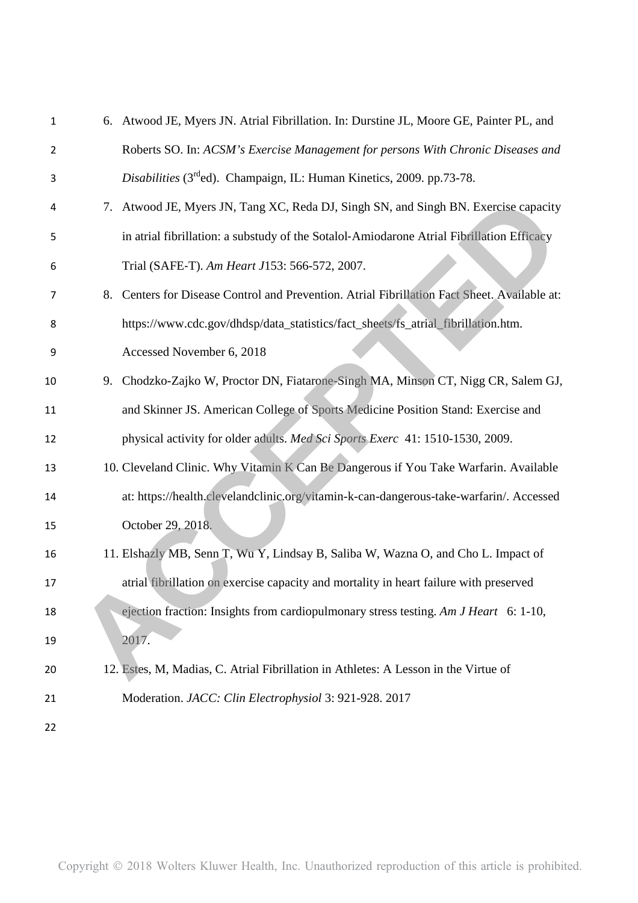| $\mathbf{1}$ |    | 6. Atwood JE, Myers JN. Atrial Fibrillation. In: Durstine JL, Moore GE, Painter PL, and   |
|--------------|----|-------------------------------------------------------------------------------------------|
| 2            |    | Roberts SO. In: ACSM's Exercise Management for persons With Chronic Diseases and          |
| 3            |    | Disabilities (3 <sup>rd</sup> ed). Champaign, IL: Human Kinetics, 2009. pp.73-78.         |
| 4            | 7. | Atwood JE, Myers JN, Tang XC, Reda DJ, Singh SN, and Singh BN. Exercise capacity          |
| 5            |    | in atrial fibrillation: a substudy of the Sotalol-Amiodarone Atrial Fibrillation Efficacy |
| 6            |    | Trial (SAFE-T). Am Heart J153: 566-572, 2007.                                             |
| 7            | 8. | Centers for Disease Control and Prevention. Atrial Fibrillation Fact Sheet. Available at: |
| 8            |    | https://www.cdc.gov/dhdsp/data_statistics/fact_sheets/fs_atrial_fibrillation.htm.         |
| 9            |    | Accessed November 6, 2018                                                                 |
| 10           | 9. | Chodzko-Zajko W, Proctor DN, Fiatarone-Singh MA, Minson CT, Nigg CR, Salem GJ,            |
| 11           |    | and Skinner JS. American College of Sports Medicine Position Stand: Exercise and          |
| 12           |    | physical activity for older adults. Med Sci Sports Exerc 41: 1510-1530, 2009.             |
| 13           |    | 10. Cleveland Clinic. Why Vitamin K Can Be Dangerous if You Take Warfarin. Available      |
| 14           |    | at: https://health.clevelandclinic.org/vitamin-k-can-dangerous-take-warfarin/. Accessed   |
| 15           |    | October 29, 2018.                                                                         |
| 16           |    | 11. Elshazly MB, Senn T, Wu Y, Lindsay B, Saliba W, Wazna O, and Cho L. Impact of         |
| 17           |    | atrial fibrillation on exercise capacity and mortality in heart failure with preserved    |
| 18           |    | ejection fraction: Insights from cardiopulmonary stress testing. Am J Heart 6: 1-10,      |
| 19           |    | 2017.                                                                                     |
| 20           |    | 12. Estes, M, Madias, C. Atrial Fibrillation in Athletes: A Lesson in the Virtue of       |
| 21           |    | Moderation. JACC: Clin Electrophysiol 3: 921-928. 2017                                    |
| 22           |    |                                                                                           |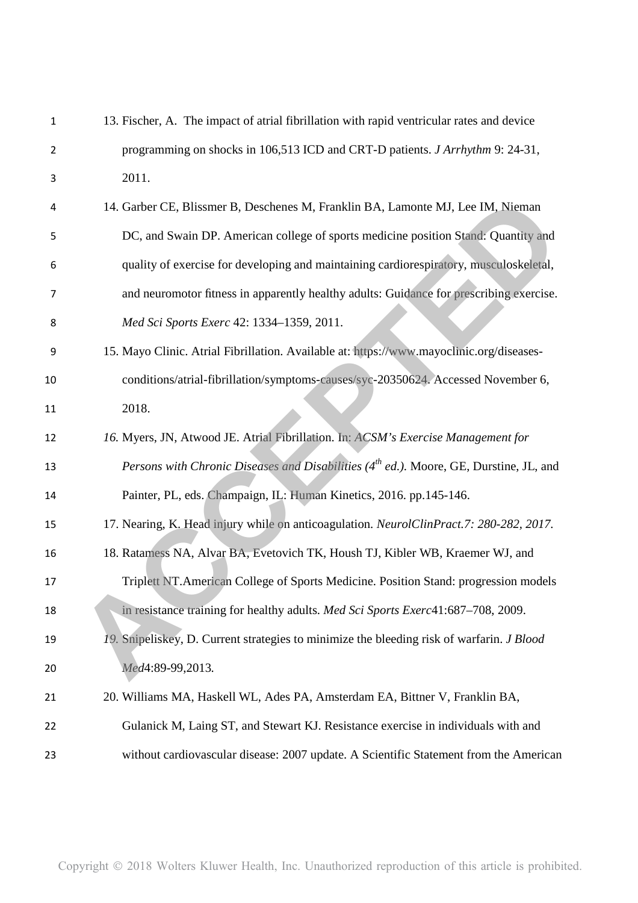| 1  | 13. Fischer, A. The impact of atrial fibrillation with rapid ventricular rates and device          |
|----|----------------------------------------------------------------------------------------------------|
| 2  | programming on shocks in 106,513 ICD and CRT-D patients. <i>J Arrhythm</i> 9: 24-31,               |
| 3  | 2011.                                                                                              |
| 4  | 14. Garber CE, Blissmer B, Deschenes M, Franklin BA, Lamonte MJ, Lee IM, Nieman                    |
| 5  | DC, and Swain DP. American college of sports medicine position Stand: Quantity and                 |
| 6  | quality of exercise for developing and maintaining cardiorespiratory, musculoskeletal,             |
| 7  | and neuromotor fitness in apparently healthy adults: Guidance for prescribing exercise.            |
| 8  | Med Sci Sports Exerc 42: 1334-1359, 2011.                                                          |
| 9  | 15. Mayo Clinic. Atrial Fibrillation. Available at: https://www.mayoclinic.org/diseases-           |
| 10 | conditions/atrial-fibrillation/symptoms-causes/syc-20350624. Accessed November 6,                  |
| 11 | 2018.                                                                                              |
| 12 | 16. Myers, JN, Atwood JE. Atrial Fibrillation. In: ACSM's Exercise Management for                  |
| 13 | Persons with Chronic Diseases and Disabilities (4 <sup>th</sup> ed.). Moore, GE, Durstine, JL, and |
| 14 | Painter, PL, eds. Champaign, IL: Human Kinetics, 2016. pp.145-146.                                 |
| 15 | 17. Nearing, K. Head injury while on anticoagulation. NeurolClinPract.7: 280-282, 2017.            |
| 16 | 18. Ratamess NA, Alvar BA, Evetovich TK, Housh TJ, Kibler WB, Kraemer WJ, and                      |
| 17 | Triplett NT. American College of Sports Medicine. Position Stand: progression models               |
| 18 | in resistance training for healthy adults. Med Sci Sports Exerc41:687–708, 2009.                   |
| 19 | 19. Snipeliskey, D. Current strategies to minimize the bleeding risk of warfarin. J Blood          |
| 20 | Med4:89-99,2013.                                                                                   |
| 21 | 20. Williams MA, Haskell WL, Ades PA, Amsterdam EA, Bittner V, Franklin BA,                        |
| 22 | Gulanick M, Laing ST, and Stewart KJ. Resistance exercise in individuals with and                  |
| 23 | without cardiovascular disease: 2007 update. A Scientific Statement from the American              |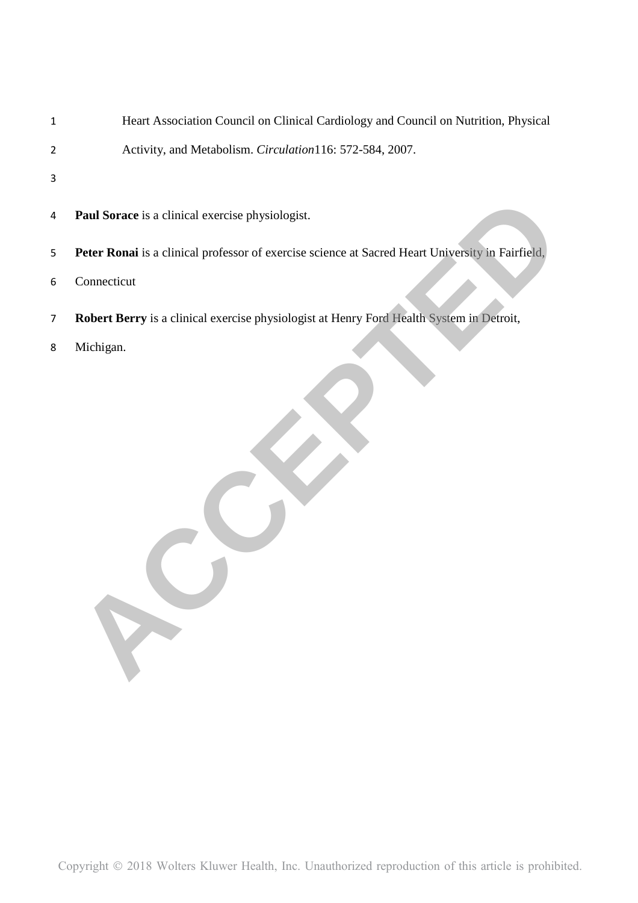- Heart Association Council on Clinical Cardiology and Council on Nutrition, Physical
- Activity, and Metabolism. *Circulation*116: 572-584, 2007.
- 
- **Paul Sorace** is a clinical exercise physiologist.
- **Peter Ronai** is a clinical professor of exercise science at Sacred Heart University in Fairfield, 12 **Paul Sorace** is a clinical exercise physiologist.<br>
8 **Peter Ronat** is a clinical professor of exercise science at Sacred Heart University in Fairfield.<br>
6 Connecticut<br>
7 **Robert Berry** is a clinical exercise physiologi
- Connecticut
- **Robert Berry** is a clinical exercise physiologist at Henry Ford Health System in Detroit,
-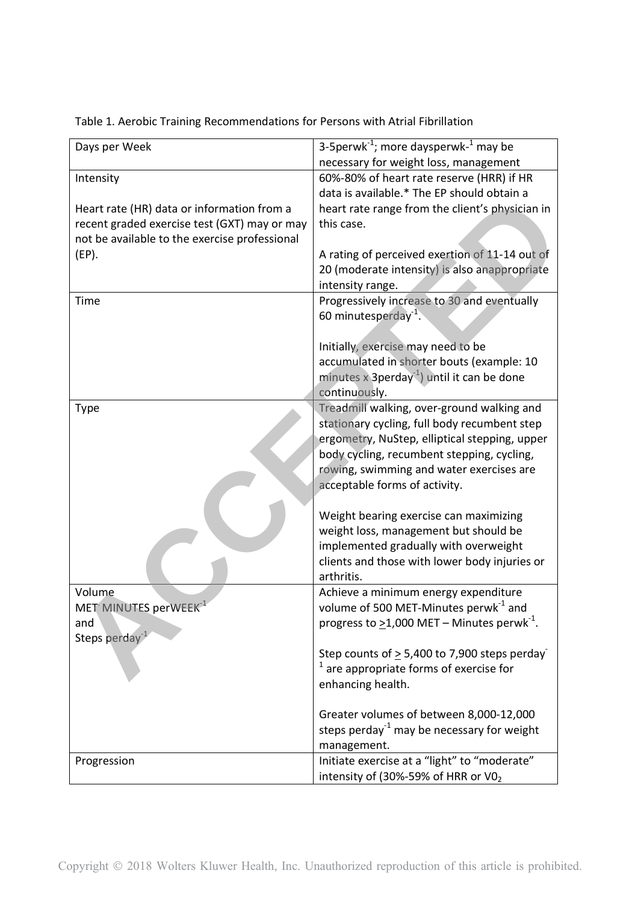| Days per Week                                 | 3-5 perwk $^{-1}$ ; more days perwk $^{-1}$ may be           |
|-----------------------------------------------|--------------------------------------------------------------|
|                                               | necessary for weight loss, management                        |
| Intensity                                     | 60%-80% of heart rate reserve (HRR) if HR                    |
|                                               | data is available.* The EP should obtain a                   |
| Heart rate (HR) data or information from a    | heart rate range from the client's physician in              |
| recent graded exercise test (GXT) may or may  | this case.                                                   |
| not be available to the exercise professional |                                                              |
| $(EP)$ .                                      | A rating of perceived exertion of 11-14 out of               |
|                                               | 20 (moderate intensity) is also anappropriate                |
|                                               | intensity range.                                             |
| Time                                          | Progressively increase to 30 and eventually                  |
|                                               | 60 minutesperday <sup>-1</sup> .                             |
|                                               |                                                              |
|                                               | Initially, exercise may need to be                           |
|                                               | accumulated in shorter bouts (example: 10                    |
|                                               | minutes x 3perday <sup>-1</sup> ) until it can be done       |
|                                               | continuously.                                                |
| <b>Type</b>                                   | Treadmill walking, over-ground walking and                   |
|                                               | stationary cycling, full body recumbent step                 |
|                                               | ergometry, NuStep, elliptical stepping, upper                |
|                                               | body cycling, recumbent stepping, cycling,                   |
|                                               | rowing, swimming and water exercises are                     |
|                                               | acceptable forms of activity.                                |
|                                               |                                                              |
|                                               | Weight bearing exercise can maximizing                       |
|                                               | weight loss, management but should be                        |
|                                               | implemented gradually with overweight                        |
|                                               |                                                              |
|                                               | clients and those with lower body injuries or<br>arthritis.  |
|                                               |                                                              |
| Volume                                        | Achieve a minimum energy expenditure                         |
| MET MINUTES perWEEK <sup>-1</sup>             | volume of 500 MET-Minutes perwk <sup>-1</sup> and            |
| and                                           | progress to $\geq$ 1,000 MET – Minutes perwk <sup>-1</sup> . |
| Steps perday <sup>-1</sup>                    |                                                              |
|                                               | Step counts of $\geq$ 5,400 to 7,900 steps perday            |
|                                               | are appropriate forms of exercise for                        |
|                                               | enhancing health.                                            |
|                                               |                                                              |
|                                               | Greater volumes of between 8,000-12,000                      |
|                                               | steps perday <sup>-1</sup> may be necessary for weight       |
|                                               | management.                                                  |
| Progression                                   | Initiate exercise at a "light" to "moderate"                 |
|                                               | intensity of (30%-59% of HRR or VO <sub>2</sub>              |

Table 1. Aerobic Training Recommendations for Persons with Atrial Fibrillation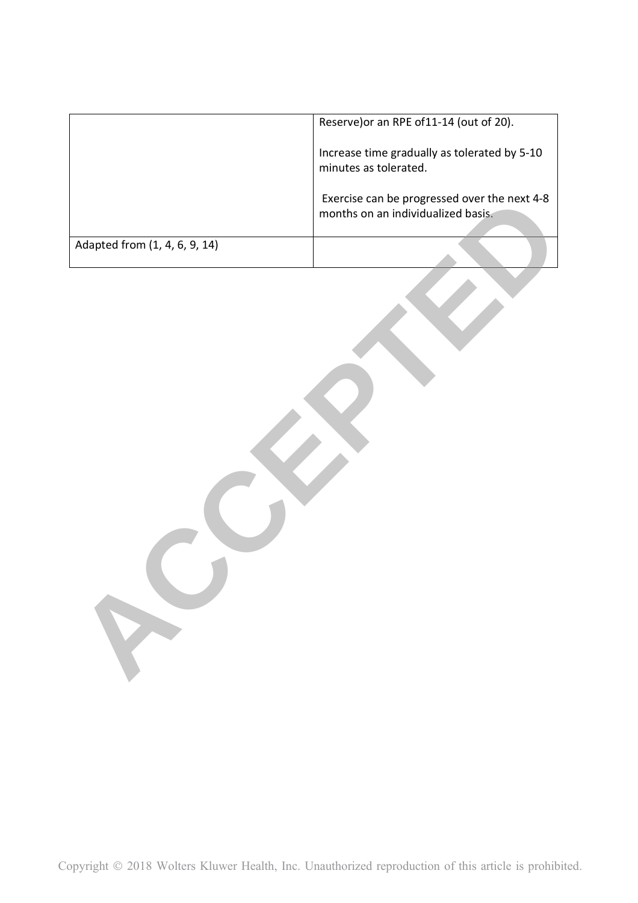|                               | Reserve) or an RPE of 11-14 (out of 20).                                           |
|-------------------------------|------------------------------------------------------------------------------------|
|                               | Increase time gradually as tolerated by 5-10<br>minutes as tolerated.              |
|                               | Exercise can be progressed over the next 4-8<br>months on an individualized basis. |
| Adapted from (1, 4, 6, 9, 14) |                                                                                    |
|                               |                                                                                    |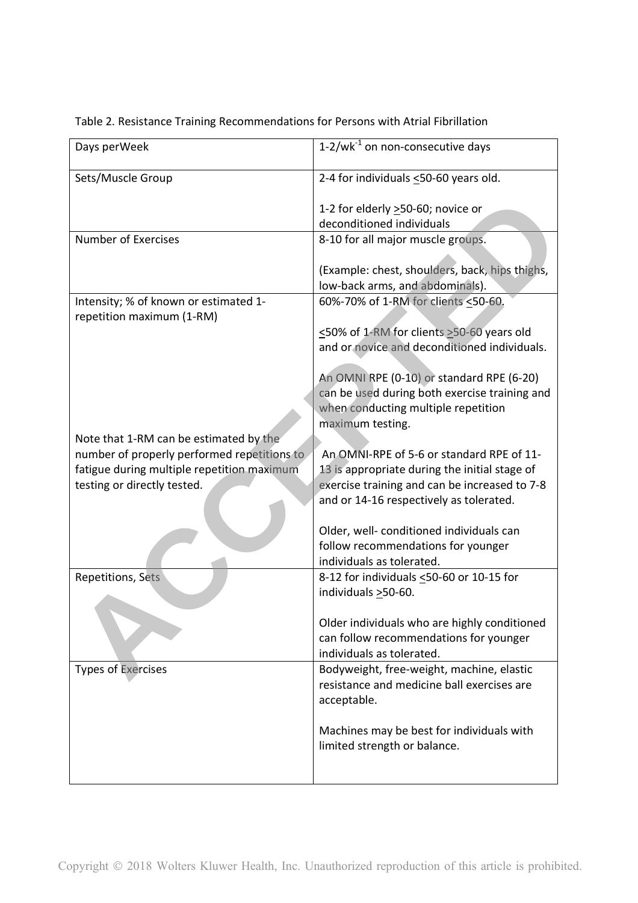| $1-2/\text{wk}^{-1}$ on non-consecutive days                                                                                                          |
|-------------------------------------------------------------------------------------------------------------------------------------------------------|
| 2-4 for individuals <50-60 years old.                                                                                                                 |
| 1-2 for elderly $\geq$ 50-60; novice or<br>deconditioned individuals                                                                                  |
| 8-10 for all major muscle groups.                                                                                                                     |
| (Example: chest, shoulders, back, hips thighs,<br>low-back arms, and abdominals).                                                                     |
| 60%-70% of 1-RM for clients <50-60.                                                                                                                   |
| <50% of 1-RM for clients >50-60 years old<br>and or novice and deconditioned individuals.                                                             |
| An OMNI RPE (0-10) or standard RPE (6-20)<br>can be used during both exercise training and<br>when conducting multiple repetition<br>maximum testing. |
| An OMNI-RPE of 5-6 or standard RPE of 11-                                                                                                             |
| 13 is appropriate during the initial stage of<br>exercise training and can be increased to 7-8<br>and or 14-16 respectively as tolerated.             |
| Older, well- conditioned individuals can<br>follow recommendations for younger<br>individuals as tolerated.                                           |
| 8-12 for individuals <50-60 or 10-15 for<br>individuals $\geq$ 50-60.                                                                                 |
| Older individuals who are highly conditioned<br>can follow recommendations for younger<br>individuals as tolerated.                                   |
| Bodyweight, free-weight, machine, elastic<br>resistance and medicine ball exercises are<br>acceptable.                                                |
| Machines may be best for individuals with<br>limited strength or balance.                                                                             |
|                                                                                                                                                       |

## Table 2. Resistance Training Recommendations for Persons with Atrial Fibrillation